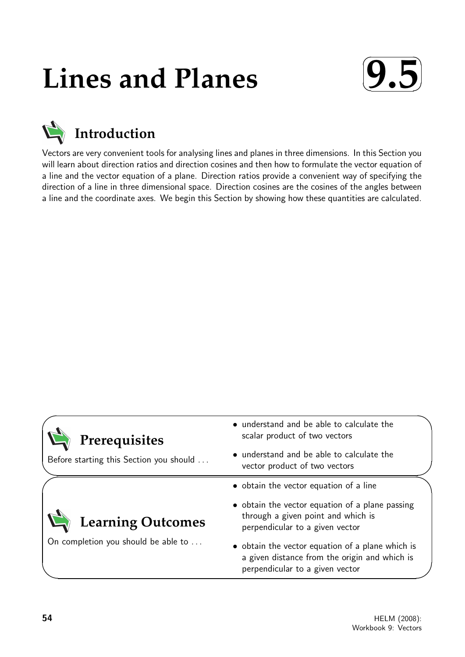# **Lines and Planes**





Vectors are very convenient tools for analysing lines and planes in three dimensions. In this Section you will learn about direction ratios and direction cosines and then how to formulate the vector equation of a line and the vector equation of a plane. Direction ratios provide a convenient way of specifying the direction of a line in three dimensional space. Direction cosines are the cosines of the angles between a line and the coordinate axes. We begin this Section by showing how these quantities are calculated.



✧

 $\geq$ 

## **Prerequisites**

Before starting this Section you should . . .

On completion you should be able to ...

**Learning Outcomes**

- understand and be able to calculate the scalar product of two vectors
- understand and be able to calculate the vector product of two vectors
- obtain the vector equation of a line
- obtain the vector equation of a plane passing through a given point and which is perpendicular to a given vector
- obtain the vector equation of a plane which is a given distance from the origin and which is perpendicular to a given vector

 $\overline{\phantom{0}}$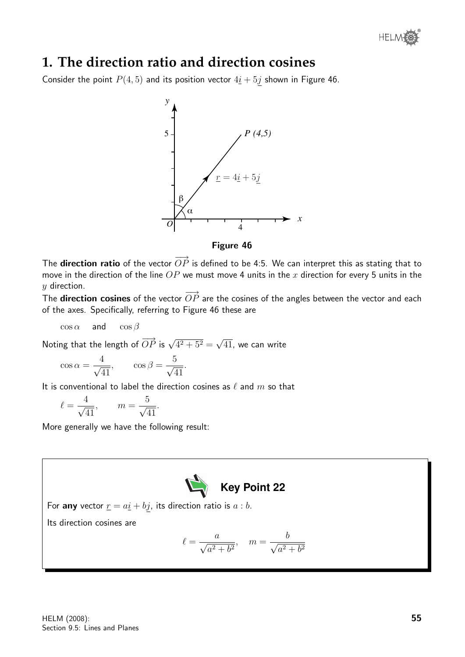

## **1. The direction ratio and direction cosines**

Consider the point  $P(4, 5)$  and its position vector  $4\underline{i} + 5\underline{j}$  shown in Figure 46.



Figure 46

The **direction ratio** of the vector  $\overrightarrow{OP}$  is defined to be 4:5. We can interpret this as stating that to move in the direction of the line  $OP$  we must move 4 units in the x direction for every 5 units in the  $y$  direction.

The **direction cosines** of the vector  $\overrightarrow{OP}$  are the cosines of the angles between the vector and each of the axes. Specifically, referring to Figure 46 these are

 $\cos \alpha$  and  $\cos \beta$ 

Noting that the length of  $\overrightarrow{OP}$  is  $\sqrt{4^2+5^2} =$ √ 41, we can write

$$
\cos \alpha = \frac{4}{\sqrt{41}}, \qquad \cos \beta = \frac{5}{\sqrt{41}}.
$$

It is conventional to label the direction cosines as  $\ell$  and m so that

$$
\ell = \frac{4}{\sqrt{41}}, \qquad m = \frac{5}{\sqrt{41}}.
$$

More generally we have the following result:



For any vector  $\underline{r} = a\underline{i} + b\underline{j}$ , its direction ratio is  $a:b$ .

Its direction cosines are

$$
\ell = \frac{a}{\sqrt{a^2 + b^2}}, \quad m = \frac{b}{\sqrt{a^2 + b^2}}
$$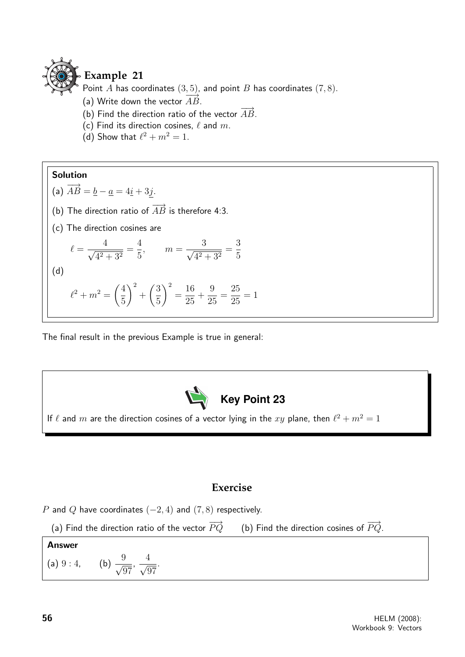

## **Example 21**

Point A has coordinates  $(3, 5)$ , and point B has coordinates  $(7, 8)$ .

- (a) Write down the vector  $\overrightarrow{AB}$ .
- (b) Find the direction ratio of the vector  $\overrightarrow{AB}$ .
- (c) Find its direction cosines,  $\ell$  and m.
- (d) Show that  $\ell^2 + m^2 = 1$ .

#### Solution

(a) 
$$
\overrightarrow{AB} = \underline{b} - \underline{a} = 4\underline{i} + 3\underline{j}
$$
.

- (b) The direction ratio of  $\overrightarrow{AB}$  is therefore 4:3.
- (c) The direction cosines are

$$
\ell = \frac{4}{\sqrt{4^2 + 3^2}} = \frac{4}{5}, \qquad m = \frac{3}{\sqrt{4^2 + 3^2}} = \frac{3}{5}
$$
\n(d)

$$
\ell^2 + m^2 = \left(\frac{4}{5}\right)^2 + \left(\frac{3}{5}\right)^2 = \frac{16}{25} + \frac{9}{25} = \frac{25}{25} = 1
$$

The final result in the previous Example is true in general:



## **Exercise**





#### Answer (a) 9 : 4, (b)  $\frac{9}{6}$ 97 ,  $\frac{4}{\sqrt{2}}$ 97 .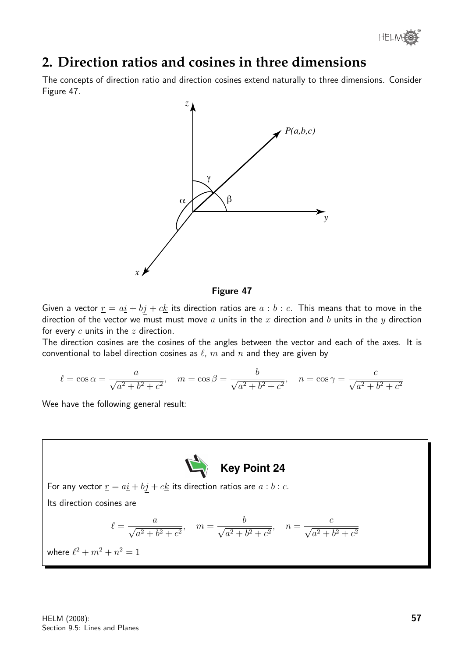

## **2. Direction ratios and cosines in three dimensions**

The concepts of direction ratio and direction cosines extend naturally to three dimensions. Consider Figure 47.



Figure 47

Given a vector  $\underline{r} = a\underline{i} + b\underline{j} + c\underline{k}$  its direction ratios are  $a:b:c$ . This means that to move in the direction of the vector we must must move  $a$  units in the  $x$  direction and  $b$  units in the  $y$  direction for every  $c$  units in the  $z$  direction.

The direction cosines are the cosines of the angles between the vector and each of the axes. It is conventional to label direction cosines as  $\ell$ , m and n and they are given by

$$
\ell = \cos \alpha = \frac{a}{\sqrt{a^2 + b^2 + c^2}}, \quad m = \cos \beta = \frac{b}{\sqrt{a^2 + b^2 + c^2}}, \quad n = \cos \gamma = \frac{c}{\sqrt{a^2 + b^2 + c^2}}
$$

Wee have the following general result:

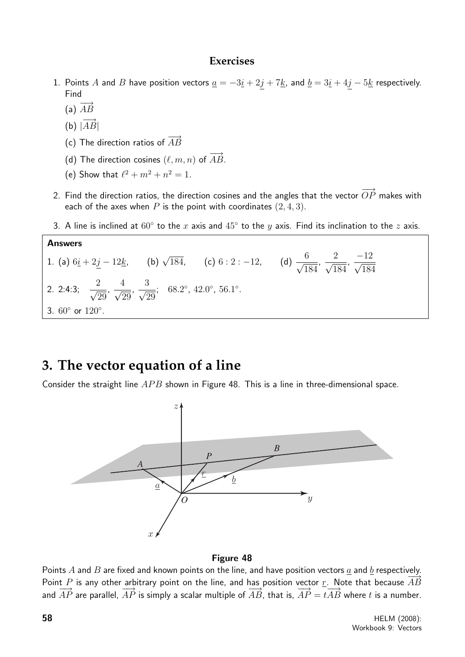#### **Exercises**

- 1. Points A and B have position vectors  $\underline{a} = -3\underline{i} + 2\underline{j} + 7\underline{k}$ , and  $\underline{b} = 3\underline{i} + 4\underline{j} 5\underline{k}$  respectively. Find
	- (a)  $\overrightarrow{AB}$
	- (b)  $|\overrightarrow{AB}|$

Answers

- (c) The direction ratios of  $\overrightarrow{AB}$
- (d) The direction cosines  $(\ell, m, n)$  of  $\overrightarrow{AB}$ .
- (e) Show that  $\ell^2 + m^2 + n^2 = 1$ .
- 2. Find the direction ratios, the direction cosines and the angles that the vector  $\overrightarrow{OP}$  makes with each of the axes when P is the point with coordinates  $(2, 4, 3)$ .
- 3. A line is inclined at  $60^{\circ}$  to the  $x$  axis and  $45^{\circ}$  to the  $y$  axis. Find its inclination to the  $z$  axis.

1. (a)  $6\underline{i} + 2\underline{j} - 12\underline{k}$ , (b)  $\sqrt{184}$ , (c)  $6: 2: -12$ , (d)  $\frac{6}{\sqrt{6}}$ 184 ,  $\frac{2}{\sqrt{2}}$ 184 ,  $\frac{-12}{\sqrt{11}}$ 184 2. 2:4:3;  $\frac{2}{\sqrt{2}}$ 29 , 4 √ 29 ,  $\frac{3}{\sqrt{2}}$ 29 ; 68.2°, 42.0°, 56.1°. 3. 60° or 120°.

## **3. The vector equation of a line**

Consider the straight line  $APB$  shown in Figure 48. This is a line in three-dimensional space.



#### Figure 48

Points A and B are fixed and known points on the line, and have position vectors  $a$  and  $b$  respectively. Point P is any other arbitrary point on the line, and has position vector r. Note that because  $\overrightarrow{AB}$ and  $\overrightarrow{AP}$  are parallel,  $\overrightarrow{AP}$  is simply a scalar multiple of  $\overrightarrow{AB}$ , that is,  $\overrightarrow{AP} = t\overrightarrow{AB}$  where t is a number.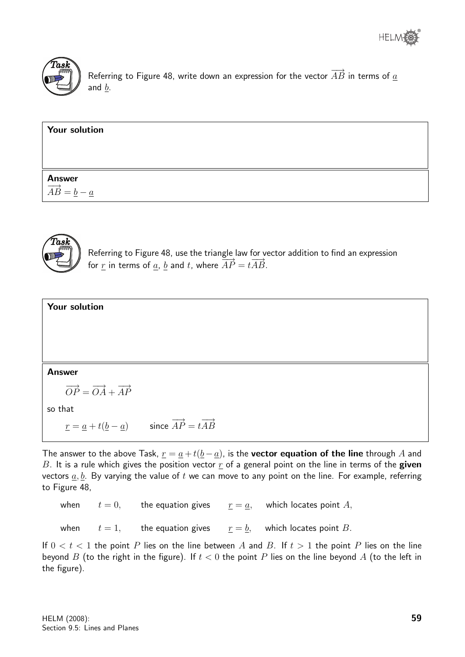

Referring to Figure 48, write down an expression for the vector  $\overrightarrow{AB}$  in terms of  $\underline{a}$ and  $\underline{b}$ .

| <b>Your solution</b>                                                   |  |  |
|------------------------------------------------------------------------|--|--|
|                                                                        |  |  |
|                                                                        |  |  |
| <b>Answer</b><br>$\overrightarrow{AB} = \underline{b} - \underline{a}$ |  |  |



Referring to Figure 48, use the triangle law for vector addition to find an expression for <u>r</u> in terms of <u>a</u>, <u>b</u> and t, where  $\overrightarrow{AP} = t\overrightarrow{AB}$ .

| Your solution                                                                                                         |  |
|-----------------------------------------------------------------------------------------------------------------------|--|
|                                                                                                                       |  |
|                                                                                                                       |  |
|                                                                                                                       |  |
| <b>Answer</b>                                                                                                         |  |
| $\overrightarrow{OP} = \overrightarrow{OA} + \overrightarrow{AP}$                                                     |  |
| so that                                                                                                               |  |
| $\underline{r} = \underline{a} + t(\underline{b} - \underline{a})$ since $\overrightarrow{AP} = t\overrightarrow{AB}$ |  |

The answer to the above Task,  $\underline{r} = \underline{a} + t(\underline{b} - \underline{a})$ , is the **vector equation of the line** through A and B. It is a rule which gives the position vector  $r$  of a general point on the line in terms of the given vectors  $a, b$ . By varying the value of t we can move to any point on the line. For example, referring to Figure 48,

|  |  | when $t = 0$ , the equation gives $r = a$ , which locates point A, |
|--|--|--------------------------------------------------------------------|
|  |  | when $t = 1$ , the equation gives $r = b$ , which locates point B. |

If  $0 < t < 1$  the point P lies on the line between A and B. If  $t > 1$  the point P lies on the line beyond B (to the right in the figure). If  $t < 0$  the point P lies on the line beyond A (to the left in the figure).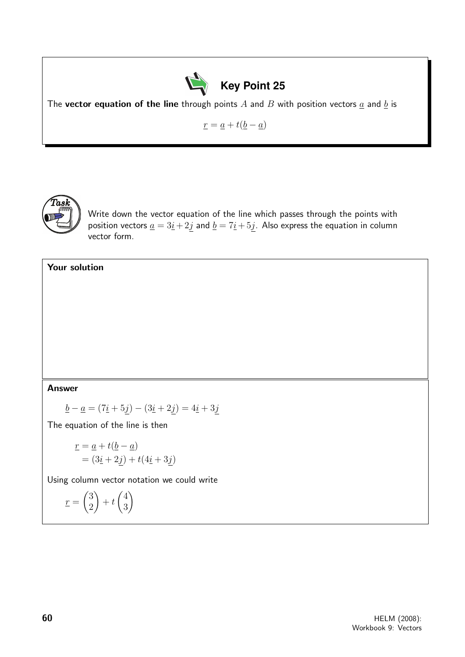

The vector equation of the line through points  $A$  and  $B$  with position vectors  $\underline{a}$  and  $\underline{b}$  is

 $\underline{r} = \underline{a} + t(\underline{b} - \underline{a})$ 



Write down the vector equation of the line which passes through the points with position vectors  $\underline{a} = 3\underline{i} + 2\underline{j}$  and  $\underline{b} = 7\underline{i} + 5\underline{j}$ . Also express the equation in column vector form.

#### Your solution

#### Answer

$$
\underline{b} - \underline{a} = (7\underline{i} + 5\underline{j}) - (3\underline{i} + 2\underline{j}) = 4\underline{i} + 3\underline{j}
$$

The equation of the line is then

$$
\underline{r} = \underline{a} + t(\underline{b} - \underline{a})
$$
  
=  $(3\underline{i} + 2\underline{j}) + t(4\underline{i} + 3\underline{j})$ 

Using column vector notation we could write

$$
\underline{r} = \begin{pmatrix} 3 \\ 2 \end{pmatrix} + t \begin{pmatrix} 4 \\ 3 \end{pmatrix}
$$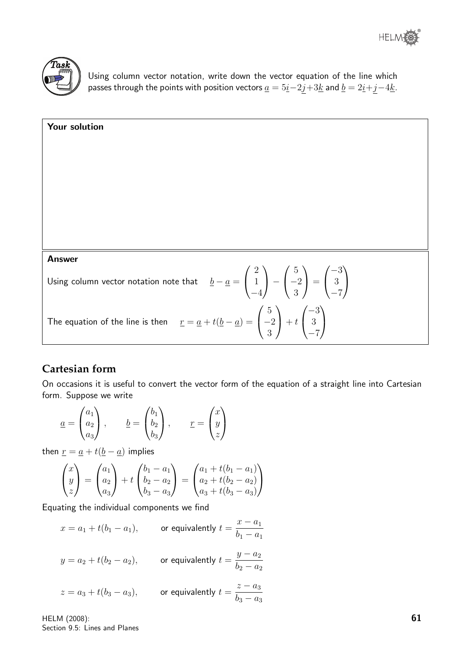



Using column vector notation, write down the vector equation of the line which passes through the points with position vectors  $\underline{a} = 5\underline{i} - 2\underline{j} + 3\underline{k}$  and  $\underline{b} = 2\underline{i} + \underline{j} - 4\underline{k}$ .

| <b>Your solution</b>                                                                                                                                                                                           |
|----------------------------------------------------------------------------------------------------------------------------------------------------------------------------------------------------------------|
|                                                                                                                                                                                                                |
|                                                                                                                                                                                                                |
|                                                                                                                                                                                                                |
|                                                                                                                                                                                                                |
|                                                                                                                                                                                                                |
| <b>Answer</b>                                                                                                                                                                                                  |
| Using column vector notation note that $\underline{b} - \underline{a} = \begin{pmatrix} 2 \\ 1 \\ -4 \end{pmatrix} - \begin{pmatrix} 5 \\ -2 \\ 3 \end{pmatrix} = \begin{pmatrix} -3 \\ 3 \\ -7 \end{pmatrix}$ |
| The equation of the line is then $\underline{r} = \underline{a} + t(\underline{b} - \underline{a}) = \begin{pmatrix} 5 \\ -2 \\ 3 \end{pmatrix} + t \begin{pmatrix} -3 \\ 3 \\ -7 \end{pmatrix}$               |

### **Cartesian form**

On occasions it is useful to convert the vector form of the equation of a straight line into Cartesian form. Suppose we write

$$
\underline{a} = \begin{pmatrix} a_1 \\ a_2 \\ a_3 \end{pmatrix}, \qquad \underline{b} = \begin{pmatrix} b_1 \\ b_2 \\ b_3 \end{pmatrix}, \qquad \underline{r} = \begin{pmatrix} x \\ y \\ z \end{pmatrix}
$$

then  $\underline{r} = \underline{a} + t(\underline{b} - \underline{a})$  implies

$$
\begin{pmatrix} x \ y \ z \end{pmatrix} = \begin{pmatrix} a_1 \ a_2 \ a_3 \end{pmatrix} + t \begin{pmatrix} b_1 - a_1 \ b_2 - a_2 \ b_3 - a_3 \end{pmatrix} = \begin{pmatrix} a_1 + t(b_1 - a_1) \ a_2 + t(b_2 - a_2) \ a_3 + t(b_3 - a_3) \end{pmatrix}
$$

Equating the individual components we find

 $x = a_1 + t(b_1 - a_1),$  or equivalently  $t =$  $x - a_1$  $b_1 - a_1$ 

$$
y = a_2 + t(b_2 - a_2)
$$
, or equivalently  $t = \frac{y - a_2}{b_2 - a_2}$ 

$$
z = a_3 + t(b_3 - a_3)
$$
, or equivalently  $t = \frac{z - a_3}{b_3 - a_3}$ 

HELM (2008): Section 9.5: Lines and Planes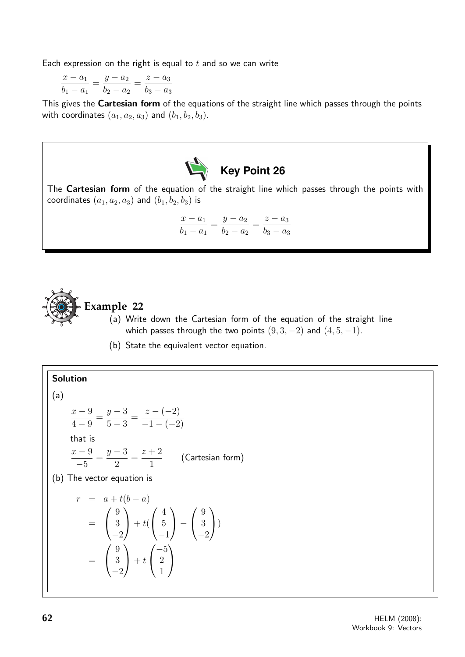Each expression on the right is equal to  $t$  and so we can write

$$
\frac{x - a_1}{b_1 - a_1} = \frac{y - a_2}{b_2 - a_2} = \frac{z - a_3}{b_3 - a_3}
$$

This gives the Cartesian form of the equations of the straight line which passes through the points with coordinates  $(a_1, a_2, a_3)$  and  $(b_1, b_2, b_3)$ .



The Cartesian form of the equation of the straight line which passes through the points with coordinates  $(a_1, a_2, a_3)$  and  $(b_1, b_2, b_3)$  is

$$
\frac{x - a_1}{b_1 - a_1} = \frac{y - a_2}{b_2 - a_2} = \frac{z - a_3}{b_3 - a_3}
$$



#### **Example 22**

- (a) Write down the Cartesian form of the equation of the straight line which passes through the two points  $(9, 3, -2)$  and  $(4, 5, -1)$ .
- (b) State the equivalent vector equation.

Solution  
\n(a)  
\n
$$
\frac{x-9}{4-9} = \frac{y-3}{5-3} = \frac{z-(-2)}{-1-(-2)}
$$
\nthat is  
\n
$$
\frac{x-9}{-5} = \frac{y-3}{2} = \frac{z+2}{1}
$$
 (Cartesian form)  
\n(b) The vector equation is  
\n
$$
\underline{r} = \underline{a} + t(\underline{b} - \underline{a})
$$
\n
$$
= \begin{pmatrix} 9 \\ 3 \\ -2 \end{pmatrix} + t(\begin{pmatrix} 4 \\ 5 \\ -1 \end{pmatrix} - \begin{pmatrix} 9 \\ 3 \\ -2 \end{pmatrix})
$$
\n
$$
= \begin{pmatrix} 9 \\ 3 \\ -2 \end{pmatrix} + t(\begin{pmatrix} -5 \\ 2 \\ 1 \end{pmatrix})
$$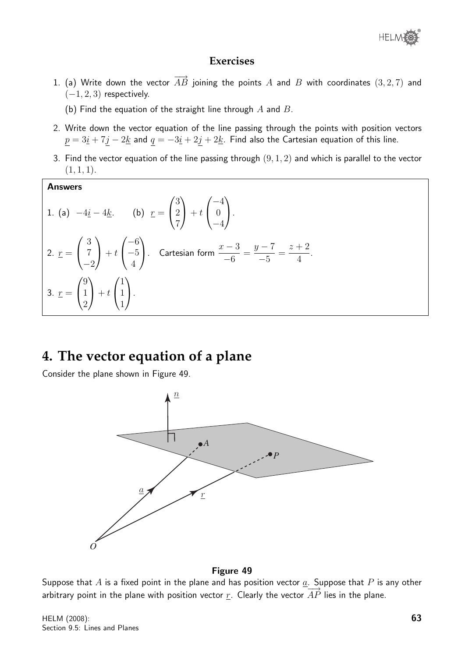

#### **Exercises**

1. (a) Write down the vector  $\overrightarrow{AB}$  joining the points A and B with coordinates (3, 2, 7) and  $(-1, 2, 3)$  respectively.

(b) Find the equation of the straight line through  $A$  and  $B$ .

- 2. Write down the vector equation of the line passing through the points with position vectors  $\underline{p} = 3\underline{i} + 7\underline{j} - 2\underline{k}$  and  $\underline{q} = -3\underline{i} + 2\underline{j} + 2\underline{k}$ . Find also the Cartesian equation of this line.
- 3. Find the vector equation of the line passing through  $(9, 1, 2)$  and which is parallel to the vector  $(1, 1, 1).$

Answers  
\n1. (a) 
$$
-4\underline{i} - 4\underline{k}
$$
. (b)  $\underline{r} = \begin{pmatrix} 3 \\ 2 \\ 7 \end{pmatrix} + t \begin{pmatrix} -4 \\ 0 \\ -4 \end{pmatrix}$ .  
\n2.  $\underline{r} = \begin{pmatrix} 3 \\ 7 \\ -2 \end{pmatrix} + t \begin{pmatrix} -6 \\ -5 \\ 4 \end{pmatrix}$ . Cartesian form  $\frac{x-3}{-6} = \frac{y-7}{-5} = \frac{z+2}{4}$ .  
\n3.  $\underline{r} = \begin{pmatrix} 9 \\ 1 \\ 2 \end{pmatrix} + t \begin{pmatrix} 1 \\ 1 \\ 1 \end{pmatrix}$ .

## **4. The vector equation of a plane**

Consider the plane shown in Figure 49.



#### Figure 49

Suppose that A is a fixed point in the plane and has position vector  $\underline{a}$ . Suppose that P is any other arbitrary point in the plane with position vector r. Clearly the vector  $\overrightarrow{AP}$  lies in the plane.

HELM (2008): Section 9.5: Lines and Planes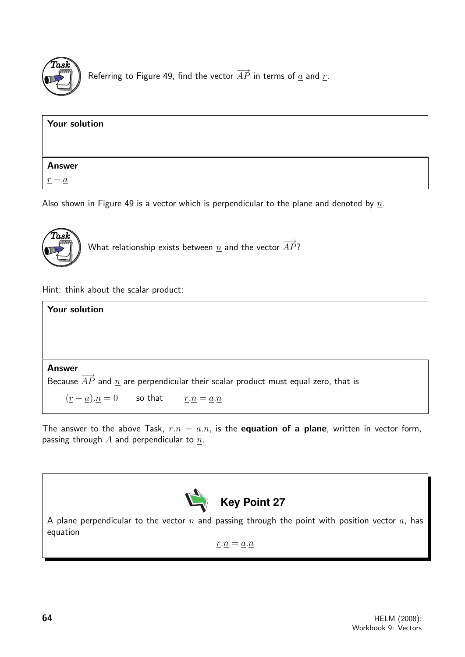

Referring to Figure 49, find the vector  $\overrightarrow{AP}$  in terms of  $\underline{a}$  and  $\underline{r}$ .

| <b>Your solution</b> |  |  |
|----------------------|--|--|
| <b>Answer</b>        |  |  |
|                      |  |  |

Also shown in Figure 49 is a vector which is perpendicular to the plane and denoted by  $n$ .



What relationship exists between  $\underline{n}$  and the vector  $\overrightarrow{AP}$ ?

Hint: think about the scalar product:

| <b>Your solution</b>                                                                                |
|-----------------------------------------------------------------------------------------------------|
|                                                                                                     |
|                                                                                                     |
|                                                                                                     |
| <b>Answer</b>                                                                                       |
| Because $\overrightarrow{AP}$ and n are perpendicular their scalar product must equal zero, that is |
| $(r-a).n = 0$ so that $r.n = a.n$                                                                   |

The answer to the above Task,  $r.n = a.n$ , is the **equation of a plane**, written in vector form, passing through  $A$  and perpendicular to  $n$ .



A plane perpendicular to the vector  $\underline{n}$  and passing through the point with position vector  $\underline{a}$ , has equation

 $\underline{r}.\underline{n} = \underline{a}.\underline{n}$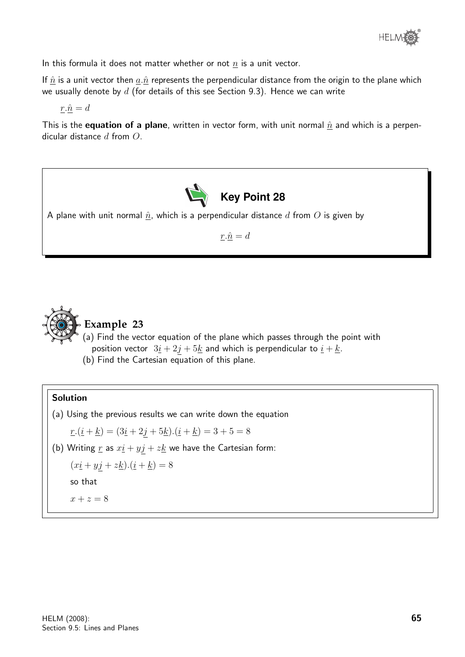

In this formula it does not matter whether or not  $n$  is a unit vector.

If  $\hat{n}$  is a unit vector then  $\underline{a}.\hat{n}$  represents the perpendicular distance from the origin to the plane which we usually denote by  $d$  (for details of this see Section 9.3). Hence we can write

 $r.\hat{n} = d$ 

This is the **equation of a plane**, written in vector form, with unit normal  $\hat{n}$  and which is a perpendicular distance d from O.



A plane with unit normal  $\hat{n}$ , which is a perpendicular distance  $d$  from  $O$  is given by

 $r.\hat{n} = d$ 



## **Example 23**

(a) Find the vector equation of the plane which passes through the point with position vector  $3\underline{i} + 2\underline{j} + 5\underline{k}$  and which is perpendicular to  $\underline{i} + \underline{k}$ .

(b) Find the Cartesian equation of this plane.

#### Solution

(a) Using the previous results we can write down the equation

 $r.(\underline{i} + \underline{k}) = (3\underline{i} + 2\underline{j} + 5\underline{k}).(\underline{i} + \underline{k}) = 3 + 5 = 8$ 

(b) Writing  $\underline{r}$  as  $x\underline{i} + y\underline{j} + z\underline{k}$  we have the Cartesian form:

 $(xi + yj + zk) \cdot (i + k) = 8$ so that

$$
x + z = 8
$$